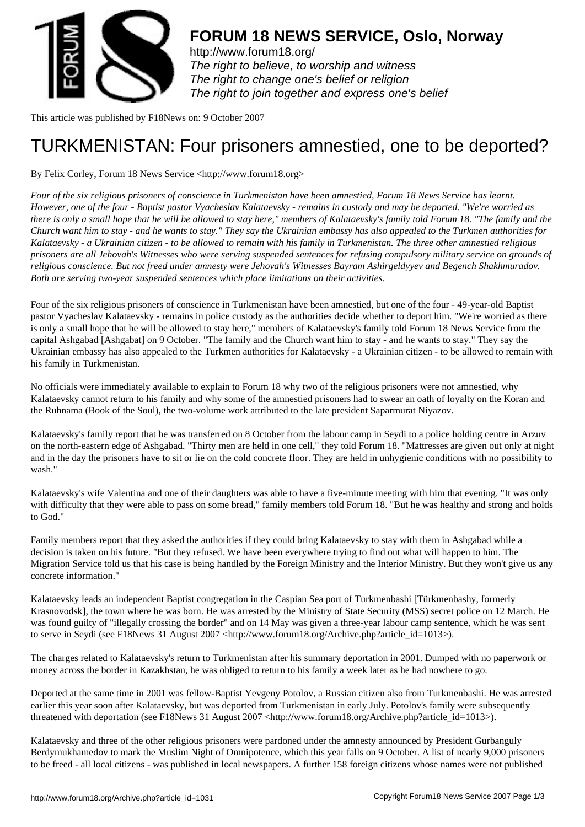

http://www.forum18.org/ The right to believe, to worship and witness The right to change one's belief or religion [The right to join together](http://www.forum18.org/) and express one's belief

This article was published by F18News on: 9 October 2007

## [TURKMENISTAN:](http://www.forum18.org) Four prisoners amnestied, one to be deported?

By Felix Corley, Forum 18 News Service <http://www.forum18.org>

*Four of the six religious prisoners of conscience in Turkmenistan have been amnestied, Forum 18 News Service has learnt. However, one of the four - Baptist pastor Vyacheslav Kalataevsky - remains in custody and may be deported. "We're worried as there is only a small hope that he will be allowed to stay here," members of Kalataevsky's family told Forum 18. "The family and the Church want him to stay - and he wants to stay." They say the Ukrainian embassy has also appealed to the Turkmen authorities for Kalataevsky - a Ukrainian citizen - to be allowed to remain with his family in Turkmenistan. The three other amnestied religious prisoners are all Jehovah's Witnesses who were serving suspended sentences for refusing compulsory military service on grounds of religious conscience. But not freed under amnesty were Jehovah's Witnesses Bayram Ashirgeldyyev and Begench Shakhmuradov. Both are serving two-year suspended sentences which place limitations on their activities.*

Four of the six religious prisoners of conscience in Turkmenistan have been amnestied, but one of the four - 49-year-old Baptist pastor Vyacheslav Kalataevsky - remains in police custody as the authorities decide whether to deport him. "We're worried as there is only a small hope that he will be allowed to stay here," members of Kalataevsky's family told Forum 18 News Service from the capital Ashgabad [Ashgabat] on 9 October. "The family and the Church want him to stay - and he wants to stay." They say the Ukrainian embassy has also appealed to the Turkmen authorities for Kalataevsky - a Ukrainian citizen - to be allowed to remain with his family in Turkmenistan.

No officials were immediately available to explain to Forum 18 why two of the religious prisoners were not amnestied, why Kalataevsky cannot return to his family and why some of the amnestied prisoners had to swear an oath of loyalty on the Koran and the Ruhnama (Book of the Soul), the two-volume work attributed to the late president Saparmurat Niyazov.

Kalataevsky's family report that he was transferred on 8 October from the labour camp in Seydi to a police holding centre in Arzuv on the north-eastern edge of Ashgabad. "Thirty men are held in one cell," they told Forum 18. "Mattresses are given out only at night and in the day the prisoners have to sit or lie on the cold concrete floor. They are held in unhygienic conditions with no possibility to wash."

Kalataevsky's wife Valentina and one of their daughters was able to have a five-minute meeting with him that evening. "It was only with difficulty that they were able to pass on some bread," family members told Forum 18. "But he was healthy and strong and holds to God."

Family members report that they asked the authorities if they could bring Kalataevsky to stay with them in Ashgabad while a decision is taken on his future. "But they refused. We have been everywhere trying to find out what will happen to him. The Migration Service told us that his case is being handled by the Foreign Ministry and the Interior Ministry. But they won't give us any concrete information."

Kalataevsky leads an independent Baptist congregation in the Caspian Sea port of Turkmenbashi [Türkmenbashy, formerly Krasnovodsk], the town where he was born. He was arrested by the Ministry of State Security (MSS) secret police on 12 March. He was found guilty of "illegally crossing the border" and on 14 May was given a three-year labour camp sentence, which he was sent to serve in Seydi (see F18News 31 August 2007 <http://www.forum18.org/Archive.php?article\_id=1013>).

The charges related to Kalataevsky's return to Turkmenistan after his summary deportation in 2001. Dumped with no paperwork or money across the border in Kazakhstan, he was obliged to return to his family a week later as he had nowhere to go.

Deported at the same time in 2001 was fellow-Baptist Yevgeny Potolov, a Russian citizen also from Turkmenbashi. He was arrested earlier this year soon after Kalataevsky, but was deported from Turkmenistan in early July. Potolov's family were subsequently threatened with deportation (see F18News 31 August 2007 <http://www.forum18.org/Archive.php?article\_id=1013>).

Kalataevsky and three of the other religious prisoners were pardoned under the amnesty announced by President Gurbanguly Berdymukhamedov to mark the Muslim Night of Omnipotence, which this year falls on 9 October. A list of nearly 9,000 prisoners to be freed - all local citizens - was published in local newspapers. A further 158 foreign citizens whose names were not published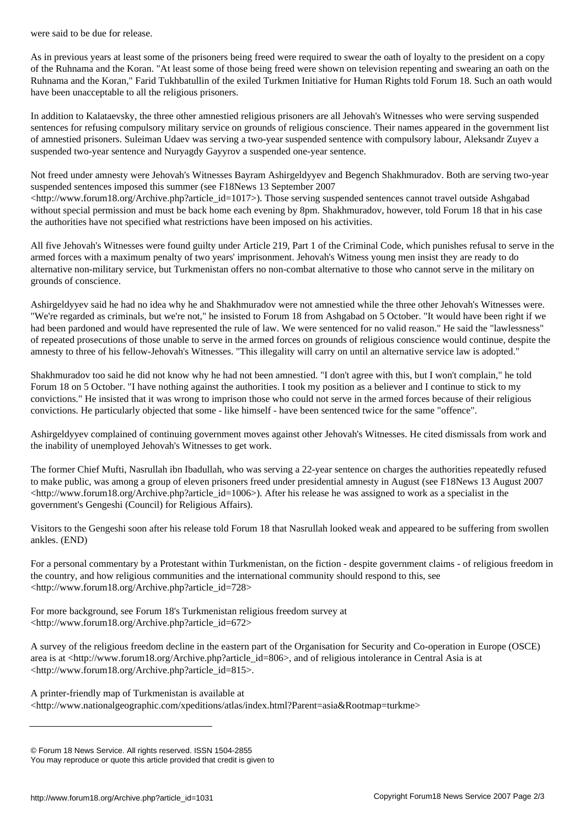As in previous years at least some of the prisoners being freed were required to swear the oath of loyalty to the president on a copy of the Ruhnama and the Koran. "At least some of those being freed were shown on television repenting and swearing an oath on the Ruhnama and the Koran," Farid Tukhbatullin of the exiled Turkmen Initiative for Human Rights told Forum 18. Such an oath would have been unacceptable to all the religious prisoners.

In addition to Kalataevsky, the three other amnestied religious prisoners are all Jehovah's Witnesses who were serving suspended sentences for refusing compulsory military service on grounds of religious conscience. Their names appeared in the government list of amnestied prisoners. Suleiman Udaev was serving a two-year suspended sentence with compulsory labour, Aleksandr Zuyev a suspended two-year sentence and Nuryagdy Gayyrov a suspended one-year sentence.

Not freed under amnesty were Jehovah's Witnesses Bayram Ashirgeldyyev and Begench Shakhmuradov. Both are serving two-year suspended sentences imposed this summer (see F18News 13 September 2007

 $\langle$ http://www.forum18.org/Archive.php?article\_id=1017>). Those serving suspended sentences cannot travel outside Ashgabad without special permission and must be back home each evening by 8pm. Shakhmuradov, however, told Forum 18 that in his case the authorities have not specified what restrictions have been imposed on his activities.

All five Jehovah's Witnesses were found guilty under Article 219, Part 1 of the Criminal Code, which punishes refusal to serve in the armed forces with a maximum penalty of two years' imprisonment. Jehovah's Witness young men insist they are ready to do alternative non-military service, but Turkmenistan offers no non-combat alternative to those who cannot serve in the military on grounds of conscience.

Ashirgeldyyev said he had no idea why he and Shakhmuradov were not amnestied while the three other Jehovah's Witnesses were. "We're regarded as criminals, but we're not," he insisted to Forum 18 from Ashgabad on 5 October. "It would have been right if we had been pardoned and would have represented the rule of law. We were sentenced for no valid reason." He said the "lawlessness" of repeated prosecutions of those unable to serve in the armed forces on grounds of religious conscience would continue, despite the amnesty to three of his fellow-Jehovah's Witnesses. "This illegality will carry on until an alternative service law is adopted."

Shakhmuradov too said he did not know why he had not been amnestied. "I don't agree with this, but I won't complain," he told Forum 18 on 5 October. "I have nothing against the authorities. I took my position as a believer and I continue to stick to my convictions." He insisted that it was wrong to imprison those who could not serve in the armed forces because of their religious convictions. He particularly objected that some - like himself - have been sentenced twice for the same "offence".

Ashirgeldyyev complained of continuing government moves against other Jehovah's Witnesses. He cited dismissals from work and the inability of unemployed Jehovah's Witnesses to get work.

The former Chief Mufti, Nasrullah ibn Ibadullah, who was serving a 22-year sentence on charges the authorities repeatedly refused to make public, was among a group of eleven prisoners freed under presidential amnesty in August (see F18News 13 August 2007  $\text{th}(w)$  /www.forum18.org/Archive.php?article id=1006>). After his release he was assigned to work as a specialist in the government's Gengeshi (Council) for Religious Affairs).

Visitors to the Gengeshi soon after his release told Forum 18 that Nasrullah looked weak and appeared to be suffering from swollen ankles. (END)

For a personal commentary by a Protestant within Turkmenistan, on the fiction - despite government claims - of religious freedom in the country, and how religious communities and the international community should respond to this, see <http://www.forum18.org/Archive.php?article\_id=728>

For more background, see Forum 18's Turkmenistan religious freedom survey at <http://www.forum18.org/Archive.php?article\_id=672>

A survey of the religious freedom decline in the eastern part of the Organisation for Security and Co-operation in Europe (OSCE) area is at <http://www.forum18.org/Archive.php?article\_id=806>, and of religious intolerance in Central Asia is at <http://www.forum18.org/Archive.php?article\_id=815>.

A printer-friendly map of Turkmenistan is available at <http://www.nationalgeographic.com/xpeditions/atlas/index.html?Parent=asia&Rootmap=turkme>

<sup>©</sup> Forum 18 News Service. All rights reserved. ISSN 1504-2855

You may reproduce or quote this article provided that credit is given to